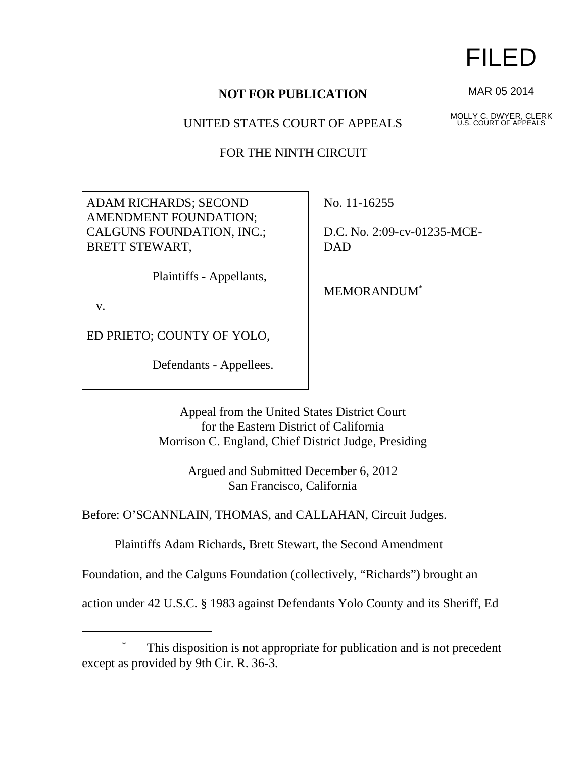## **NOT FOR PUBLICATION**

UNITED STATES COURT OF APPEALS

FOR THE NINTH CIRCUIT

ADAM RICHARDS; SECOND AMENDMENT FOUNDATION; CALGUNS FOUNDATION, INC.; BRETT STEWART,

Plaintiffs - Appellants,

v.

ED PRIETO; COUNTY OF YOLO,

Defendants - Appellees.

No. 11-16255

D.C. No. 2:09-cv-01235-MCE-DAD

MEMORANDUM\*

Appeal from the United States District Court for the Eastern District of California Morrison C. England, Chief District Judge, Presiding

> Argued and Submitted December 6, 2012 San Francisco, California

Before: O'SCANNLAIN, THOMAS, and CALLAHAN, Circuit Judges.

Plaintiffs Adam Richards, Brett Stewart, the Second Amendment

Foundation, and the Calguns Foundation (collectively, "Richards") brought an

action under 42 U.S.C. § 1983 against Defendants Yolo County and its Sheriff, Ed

## FILED

MAR 05 2014

MOLLY C. DWYER, CLERK U.S. COURT OF APPEALS

This disposition is not appropriate for publication and is not precedent except as provided by 9th Cir. R. 36-3.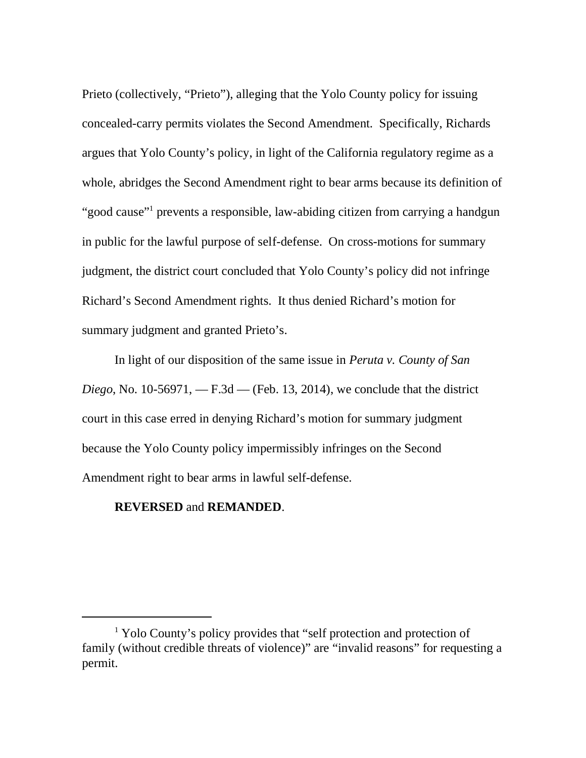Prieto (collectively, "Prieto"), alleging that the Yolo County policy for issuing concealed-carry permits violates the Second Amendment. Specifically, Richards argues that Yolo County's policy, in light of the California regulatory regime as a whole, abridges the Second Amendment right to bear arms because its definition of "good cause"<sup>1</sup> prevents a responsible, law-abiding citizen from carrying a handgun in public for the lawful purpose of self-defense. On cross-motions for summary judgment, the district court concluded that Yolo County's policy did not infringe Richard's Second Amendment rights. It thus denied Richard's motion for summary judgment and granted Prieto's.

In light of our disposition of the same issue in *Peruta v. County of San Diego*, No. 10-56971, — F.3d — (Feb. 13, 2014), we conclude that the district court in this case erred in denying Richard's motion for summary judgment because the Yolo County policy impermissibly infringes on the Second Amendment right to bear arms in lawful self-defense.

## **REVERSED** and **REMANDED**.

<sup>&</sup>lt;sup>1</sup> Yolo County's policy provides that "self protection and protection of family (without credible threats of violence)" are "invalid reasons" for requesting a permit.